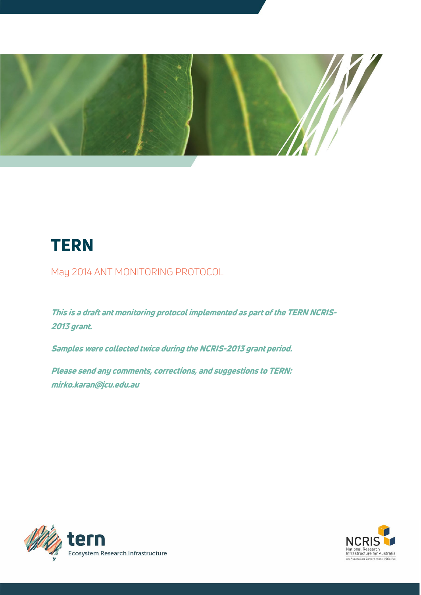

# **TERN**

May 2014 ANT MONITORING PROTOCOL

This is a draft ant monitoring protocol implemented as part of the TERN NCRIS-2013 grant.

Samples were collected twice during the NCRIS-2013 grant period.

Please send any comments, corrections, and suggestions to TERN: mirko.karan@jcu.edu.au



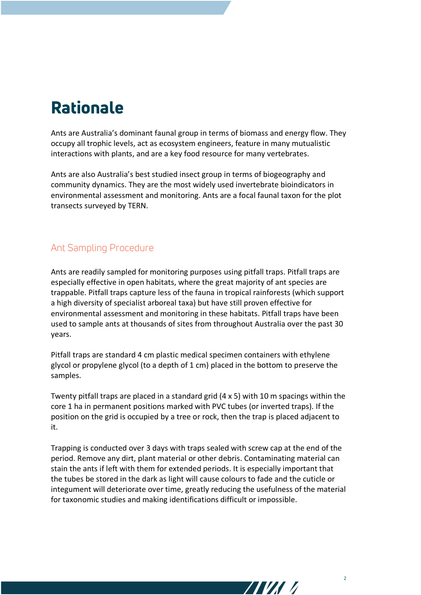## Rationale

Ants are Australia's dominant faunal group in terms of biomass and energy flow. They occupy all trophic levels, act as ecosystem engineers, feature in many mutualistic interactions with plants, and are a key food resource for many vertebrates.

Ants are also Australia's best studied insect group in terms of biogeography and community dynamics. They are the most widely used invertebrate bioindicators in environmental assessment and monitoring. Ants are a focal faunal taxon for the plot transects surveyed by TERN.

### Ant Sampling Procedure

Ants are readily sampled for monitoring purposes using pitfall traps. Pitfall traps are especially effective in open habitats, where the great majority of ant species are trappable. Pitfall traps capture less of the fauna in tropical rainforests (which support a high diversity of specialist arboreal taxa) but have still proven effective for environmental assessment and monitoring in these habitats. Pitfall traps have been used to sample ants at thousands of sites from throughout Australia over the past 30 years.

Pitfall traps are standard 4 cm plastic medical specimen containers with ethylene glycol or propylene glycol (to a depth of 1 cm) placed in the bottom to preserve the samples.

Twenty pitfall traps are placed in a standard grid (4 x 5) with 10 m spacings within the core 1 ha in permanent positions marked with PVC tubes (or inverted traps). If the position on the grid is occupied by a tree or rock, then the trap is placed adjacent to it.

Trapping is conducted over 3 days with traps sealed with screw cap at the end of the period. Remove any dirt, plant material or other debris. Contaminating material can stain the ants if left with them for extended periods. It is especially important that the tubes be stored in the dark as light will cause colours to fade and the cuticle or integument will deteriorate over time, greatly reducing the usefulness of the material for taxonomic studies and making identifications difficult or impossible.

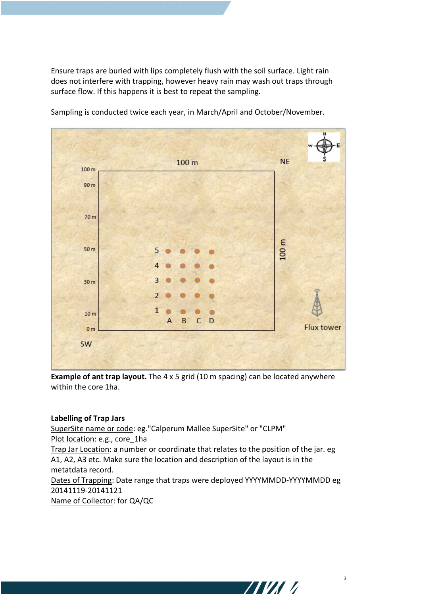Ensure traps are buried with lips completely flush with the soil surface. Light rain does not interfere with trapping, however heavy rain may wash out traps through surface flow. If this happens it is best to repeat the sampling.



Sampling is conducted twice each year, in March/April and October/November.

**Example of ant trap layout.** The 4 x 5 grid (10 m spacing) can be located anywhere within the core 1ha.

#### **Labelling of Trap Jars**

SuperSite name or code: eg."Calperum Mallee SuperSite" or "CLPM" Plot location: e.g., core 1ha Trap Jar Location: a number or coordinate that relates to the position of the jar. eg A1, A2, A3 etc. Make sure the location and description of the layout is in the metatdata record.

Dates of Trapping: Date range that traps were deployed YYYYMMDD-YYYYMMDD eg 20141119-20141121

Name of Collector: for QA/QC